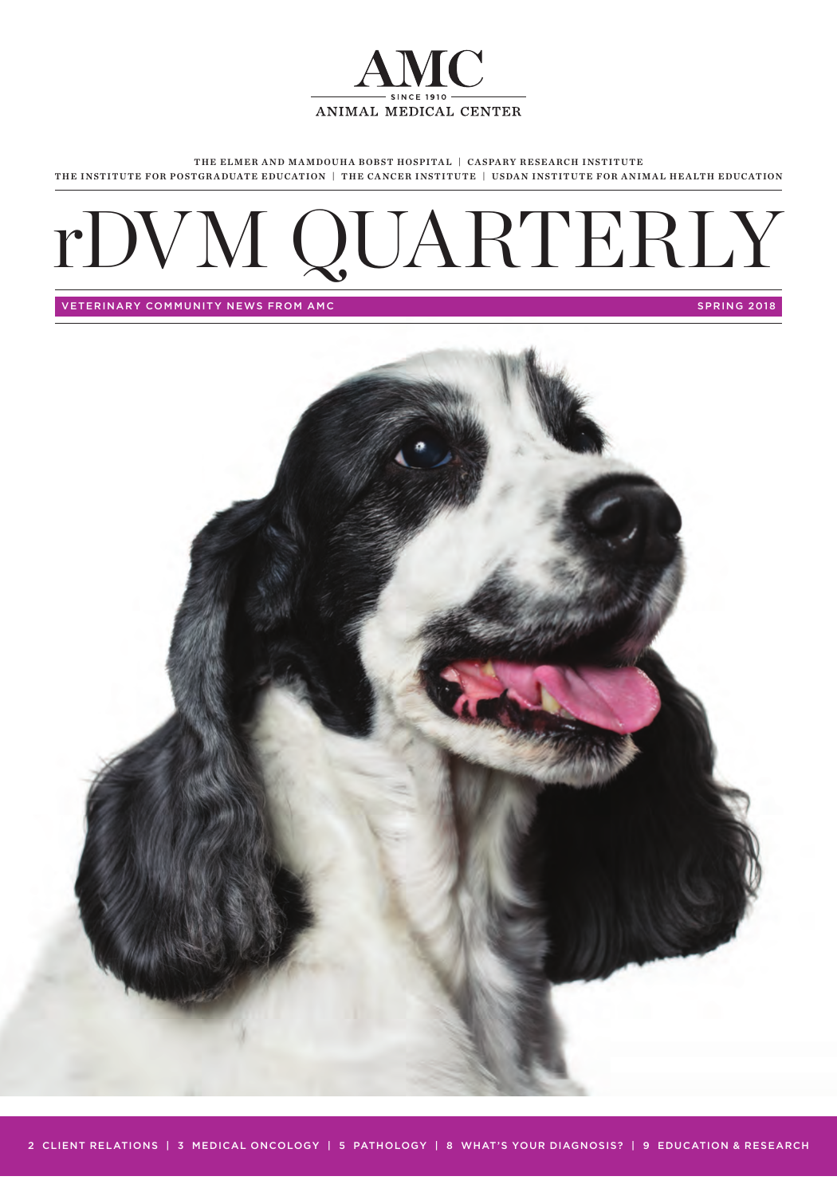

THE ELMER AND MAMDOUHA BOBST HOSPITAL | CASPARY RESEARCH INSTITUTE THE INSTITUTE FOR POSTGRADUATE EDUCATION | THE CANCER INSTITUTE | USDAN INSTITUTE FOR ANIMAL HEALTH EDUCATION

# rDVM QUARTERLY

VETERINARY COMMUNITY NEWS FROM AMC **SPRING 2018** SPRING 2018

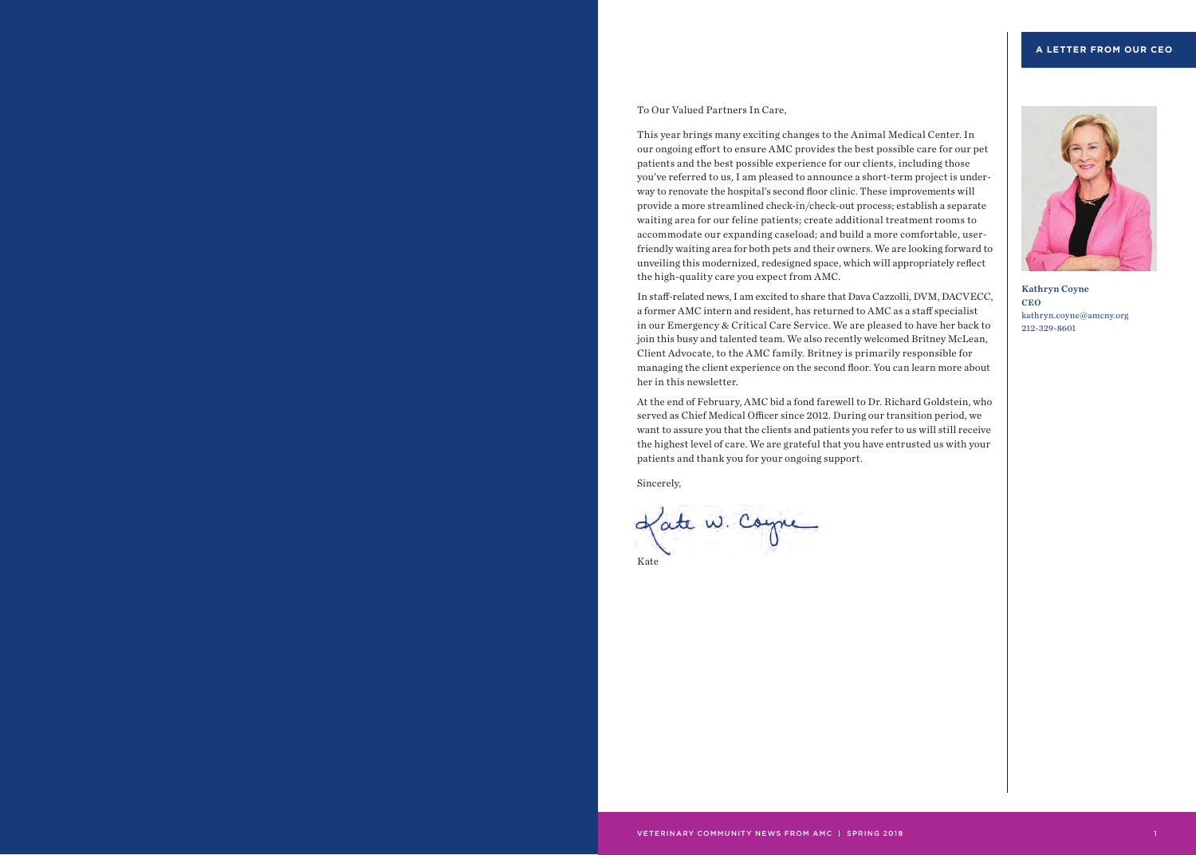To Our Valued Partners In Care,

This year brings many exciting changes to the Animal Medical Center. In our ongoing effort to ensure AMC provides the best possible care for our pet patients and the best possible experience for our clients, including those you've referred to us, I am pleased to announce a short-term project is underway to renovate the hospital's second floor clinic. These improvements will provide a more streamlined check-in/check-out process; establish a separate waiting area for our feline patients; create additional treatment rooms to accommodate our expanding caseload; and build a more comfortable, userfriendly waiting area for both pets and their owners. We are looking forward to unveiling this modernized, redesigned space, which will appropriately reflect the high-quality care you expect from AMC.

In staff-related news, I am excited to share that Dava Cazzolli, DVM, DACVECC, a former AMC intern and resident, has returned to AMC as a staff specialist in our Emergency & Critical Care Service. We are pleased to have her back to join this busy and talented team. We also recently welcomed Britney McLean, Client Advocate, to the AMC family. Britney is primarily responsible for managing the client experience on the second floor. You can learn more about her in this newsletter.

At the end of February, AMC bid a fond farewell to Dr. Richard Goldstein, who served as Chief Medical Officer since 2012. During our transition period, we want to assure you that the clients and patients you refer to us will still receive the highest level of care. We are grateful that you have entrusted us with your patients and thank you for your ongoing support.

Sincerely,





Kathryn Coyne CEO kathryn.coyne@amcny.org 212-329-8601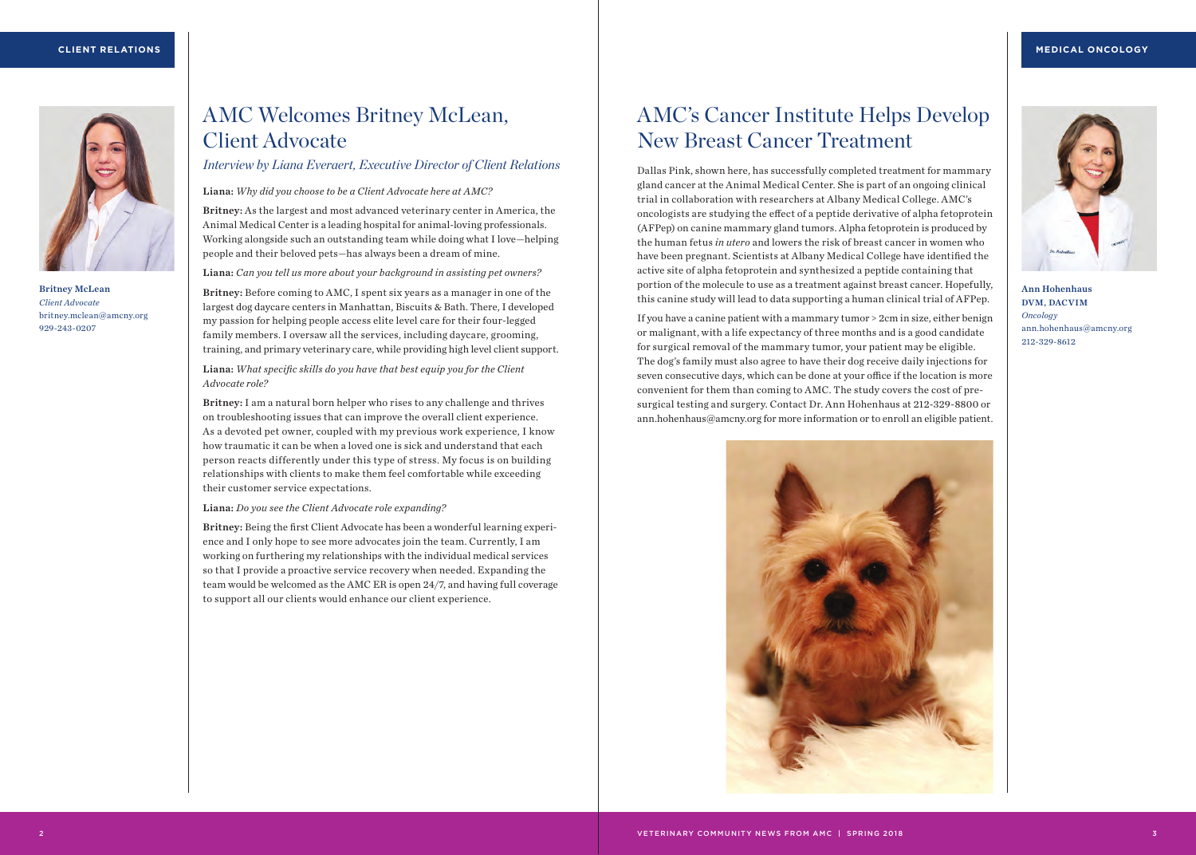

Britney McLean *Client Advocate* britney.mclean@amcny.org 929-243-0207

# AMC Welcomes Britney McLean, Client Advocate

*Interview by Liana Everaert, Executive Director of Client Relations*

Liana: *Why did you choose to be a Client Advocate here at AMC?*

Britney: As the largest and most advanced veterinary center in America, the Animal Medical Center is a leading hospital for animal-loving professionals. Working alongside such an outstanding team while doing what I love—helping people and their beloved pets—has always been a dream of mine.

Liana: *Can you tell us more about your background in assisting pet owners?*

Britney: Before coming to AMC, I spent six years as a manager in one of the largest dog daycare centers in Manhattan, Biscuits & Bath. There, I developed my passion for helping people access elite level care for their four-legged family members. I oversaw all the services, including daycare, grooming, training, and primary veterinary care, while providing high level client support.

Liana: *What specific skills do you have that best equip you for the Client Advocate role?* 

Britney: I am a natural born helper who rises to any challenge and thrives on troubleshooting issues that can improve the overall client experience. As a devoted pet owner, coupled with my previous work experience, I know how traumatic it can be when a loved one is sick and understand that each person reacts differently under this type of stress. My focus is on building relationships with clients to make them feel comfortable while exceeding their customer service expectations.

Liana: *Do you see the Client Advocate role expanding?*

Britney: Being the first Client Advocate has been a wonderful learning experience and I only hope to see more advocates join the team. Currently, I am working on furthering my relationships with the individual medical services so that I provide a proactive service recovery when needed. Expanding the team would be welcomed as the AMC ER is open 24/7, and having full coverage to support all our clients would enhance our client experience.

## AMC's Cancer Institute Helps Develop New Breast Cancer Treatment

Dallas Pink, shown here, has successfully completed treatment for mammary gland cancer at the Animal Medical Center. She is part of an ongoing clinical trial in collaboration with researchers at Albany Medical College. AMC's oncologists are studying the effect of a peptide derivative of alpha fetoprotein (AFPep) on canine mammary gland tumors. Alpha fetoprotein is produced by the human fetus *in utero* and lowers the risk of breast cancer in women who have been pregnant. Scientists at Albany Medical College have identified the active site of alpha fetoprotein and synthesized a peptide containing that portion of the molecule to use as a treatment against breast cancer. Hopefully, this canine study will lead to data supporting a human clinical trial of AFPep.



Ann Hohenhaus DVM, DACVIM *Oncology* ann.hohenhaus@amcny.org 212-329-8612

If you have a canine patient with a mammary tumor > 2cm in size, either benign or malignant, with a life expectancy of three months and is a good candidate for surgical removal of the mammary tumor, your patient may be eligible. The dog's family must also agree to have their dog receive daily injections for seven consecutive days, which can be done at your office if the location is more convenient for them than coming to AMC. The study covers the cost of presurgical testing and surgery. Contact Dr. Ann Hohenhaus at 212-329-8800 or ann.hohenhaus@amcny.org for more information or to enroll an eligible patient.

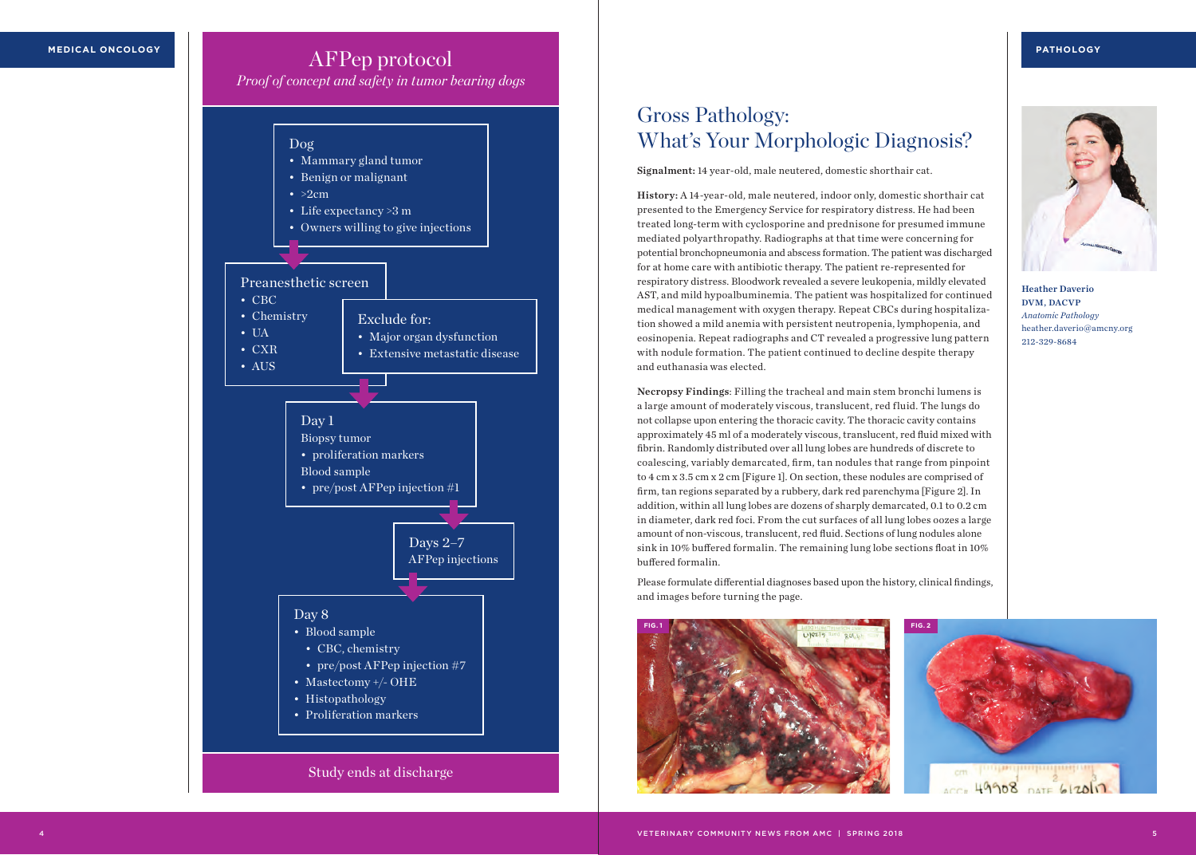## AFPep protocol

*Proof of concept and safety in tumor bearing dogs*



## Gross Pathology: What's Your Morphologic Diagnosis?

Signalment: 14 year-old, male neutered, domestic shorthair cat.

History: A 14-year-old, male neutered, indoor only, domestic shorthair cat presented to the Emergency Service for respiratory distress. He had been treated long-term with cyclosporine and prednisone for presumed immune mediated polyarthropathy. Radiographs at that time were concerning for potential bronchopneumonia and abscess formation. The patient was discharged for at home care with antibiotic therapy. The patient re-represented for respiratory distress. Bloodwork revealed a severe leukopenia, mildly elevated AST, and mild hypoalbuminemia. The patient was hospitalized for continued medical management with oxygen therapy. Repeat CBCs during hospitalization showed a mild anemia with persistent neutropenia, lymphopenia, and eosinopenia. Repeat radiographs and CT revealed a progressive lung pattern with nodule formation. The patient continued to decline despite therapy and euthanasia was elected.

Necropsy Findings: Filling the tracheal and main stem bronchi lumens is a large amount of moderately viscous, translucent, red fluid. The lungs do not collapse upon entering the thoracic cavity. The thoracic cavity contains approximately 45 ml of a moderately viscous, translucent, red fluid mixed with fibrin. Randomly distributed over all lung lobes are hundreds of discrete to coalescing, variably demarcated, firm, tan nodules that range from pinpoint to 4 cm x 3.5 cm x 2 cm [Figure 1]. On section, these nodules are comprised of firm, tan regions separated by a rubbery, dark red parenchyma [Figure 2]. In addition, within all lung lobes are dozens of sharply demarcated, 0.1 to 0.2 cm in diameter, dark red foci. From the cut surfaces of all lung lobes oozes a large amount of non-viscous, translucent, red fluid. Sections of lung nodules alone sink in 10% buffered formalin. The remaining lung lobe sections float in 10% buffered formalin.

Please formulate differential diagnoses based upon the history, clinical findings, and images before turning the page.

cm

49908 DATE 612017





Heather Daverio DVM, DACVP *Anatomic Pathology* heather.daverio@amcny.org 212-329-8684

VETERINARY COMMUNITY NEWS FROM AMC | SPRING 2018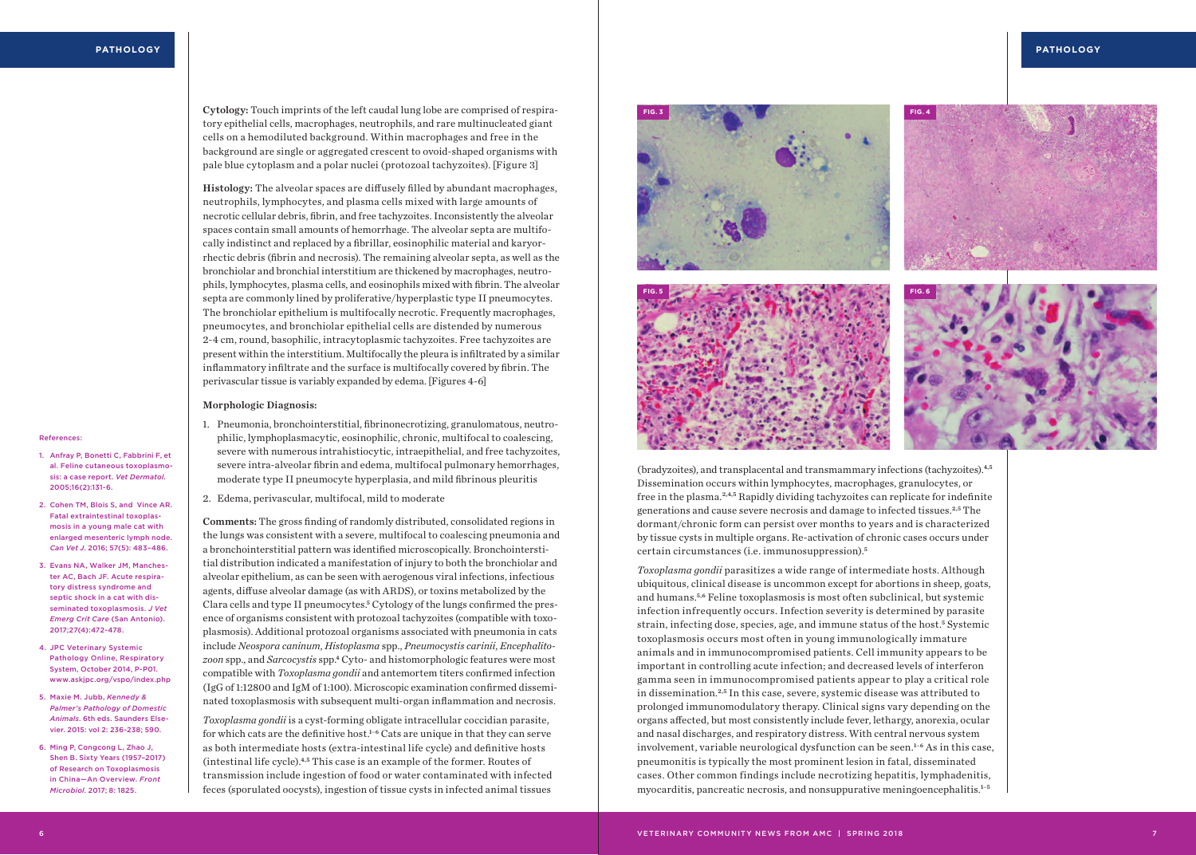Cytology: Touch imprints of the left caudal lung lobe are comprised of respiratory epithelial cells, macrophages, neutrophils, and rare multinucleated giant cells on a hemodiluted background. Within macrophages and free in the background are single or aggregated crescent to ovoid-shaped organisms with pale blue cytoplasm and a polar nuclei (protozoal tachyzoites). [Figure 3]

Histology: The alveolar spaces are diffusely filled by abundant macrophages, neutrophils, lymphocytes, and plasma cells mixed with large amounts of necrotic cellular debris, fibrin, and free tachyzoites. Inconsistently the alveolar spaces contain small amounts of hemorrhage. The alveolar septa are multifocally indistinct and replaced by a fibrillar, eosinophilic material and karyorrhectic debris (fibrin and necrosis). The remaining alveolar septa, as well as the bronchiolar and bronchial interstitium are thickened by macrophages, neutrophils, lymphocytes, plasma cells, and eosinophils mixed with fibrin. The alveolar septa are commonly lined by proliferative/hyperplastic type II pneumocytes. The bronchiolar epithelium is multifocally necrotic. Frequently macrophages, pneumocytes, and bronchiolar epithelial cells are distended by numerous 2-4 cm, round, basophilic, intracytoplasmic tachyzoites. Free tachyzoites are present within the interstitium. Multifocally the pleura is infiltrated by a similar inflammatory infiltrate and the surface is multifocally covered by fibrin. The perivascular tissue is variably expanded by edema. [Figures 4-6]

#### Morphologic Diagnosis:

#### **References**

- 1. Anfray P, Bonetti C, Fabbrini F, et al. Feline cutaneous toxoplasmosis: a case report. *Vet Dermatol*. 2005;16(2):131-6.
- 2. Cohen TM, Blois S, and Vince AR. Fatal extraintestinal toxoplasmosis in a young male cat with enlarged mesenteric lymph node. *Can Vet J*. 2016; 57(5): 483–486.
- 3. Evans NA, Walker JM, Manchester AC, Bach JF. Acute respiratory distress syndrome and septic shock in a cat with disseminated toxoplasmosis. *J Vet Emerg Crit Care* (San Antonio). 2017;27(4):472-478.
- 4. JPC Veterinary Systemic Pathology Online, Respiratory System, October 2014, P-P01. www.askjpc.org/vspo/index.php
- 5. Maxie M. Jubb, *Kennedy & Palmer's Pathology of Domestic Animals*. 6th eds. Saunders Elsevier. 2015: vol 2: 236-238; 590.
- 6. Ming P, Congcong L, Zhao J, Shen B. Sixty Years (1957–2017) of Research on Toxoplasmosis in China—An Overview. *Front Microbiol*. 2017; 8: 1825.

1. Pneumonia, bronchointerstitial, fibrinonecrotizing, granulomatous, neutrophilic, lymphoplasmacytic, eosinophilic, chronic, multifocal to coalescing, severe with numerous intrahistiocytic, intraepithelial, and free tachyzoites, severe intra-alveolar fibrin and edema, multifocal pulmonary hemorrhages, moderate type II pneumocyte hyperplasia, and mild fibrinous pleuritis

2. Edema, perivascular, multifocal, mild to moderate

Comments: The gross finding of randomly distributed, consolidated regions in the lungs was consistent with a severe, multifocal to coalescing pneumonia and a bronchointerstitial pattern was identified microscopically. Bronchointerstitial distribution indicated a manifestation of injury to both the bronchiolar and alveolar epithelium, as can be seen with aerogenous viral infections, infectious agents, diffuse alveolar damage (as with ARDS), or toxins metabolized by the Clara cells and type II pneumocytes.<sup>5</sup> Cytology of the lungs confirmed the presence of organisms consistent with protozoal tachyzoites (compatible with toxoplasmosis). Additional protozoal organisms associated with pneumonia in cats include *Neospora caninum*, *Histoplasma* spp., *Pneumocystis carinii*, *Encephalitozoon* spp., and *Sarcocystis* spp.<sup>4</sup> Cyto- and histomorphologic features were most compatible with *Toxoplasma gondii* and antemortem titers confirmed infection (IgG of 1:12800 and IgM of 1:100). Microscopic examination confirmed disseminated toxoplasmosis with subsequent multi-organ inflammation and necrosis.

*Toxoplasma gondii* is a cyst-forming obligate intracellular coccidian parasite, for which cats are the definitive host.<sup>1-6</sup> Cats are unique in that they can serve as both intermediate hosts (extra-intestinal life cycle) and definitive hosts (intestinal life cycle).4,5 This case is an example of the former. Routes of transmission include ingestion of food or water contaminated with infected feces (sporulated oocysts), ingestion of tissue cysts in infected animal tissues



(bradyzoites), and transplacental and transmammary infections (tachyzoites).4,5 Dissemination occurs within lymphocytes, macrophages, granulocytes, or free in the plasma.2,4,5 Rapidly dividing tachyzoites can replicate for indefinite generations and cause severe necrosis and damage to infected tissues.2,5 The dormant/chronic form can persist over months to years and is characterized by tissue cysts in multiple organs. Re-activation of chronic cases occurs under certain circumstances (i.e. immunosuppression).<sup>5</sup>

*Toxoplasma gondii* parasitizes a wide range of intermediate hosts. Although ubiquitous, clinical disease is uncommon except for abortions in sheep, goats, and humans.5,6 Feline toxoplasmosis is most often subclinical, but systemic infection infrequently occurs. Infection severity is determined by parasite strain, infecting dose, species, age, and immune status of the host.<sup>5</sup> Systemic toxoplasmosis occurs most often in young immunologically immature animals and in immunocompromised patients. Cell immunity appears to be important in controlling acute infection; and decreased levels of interferon gamma seen in immunocompromised patients appear to play a critical role in dissemination.2,5 In this case, severe, systemic disease was attributed to prolonged immunomodulatory therapy. Clinical signs vary depending on the organs affected, but most consistently include fever, lethargy, anorexia, ocular and nasal discharges, and respiratory distress. With central nervous system involvement, variable neurological dysfunction can be seen.<sup>1-6</sup> As in this case, pneumonitis is typically the most prominent lesion in fatal, disseminated cases. Other common findings include necrotizing hepatitis, lymphadenitis, myocarditis, pancreatic necrosis, and nonsuppurative meningoencephalitis. 1–5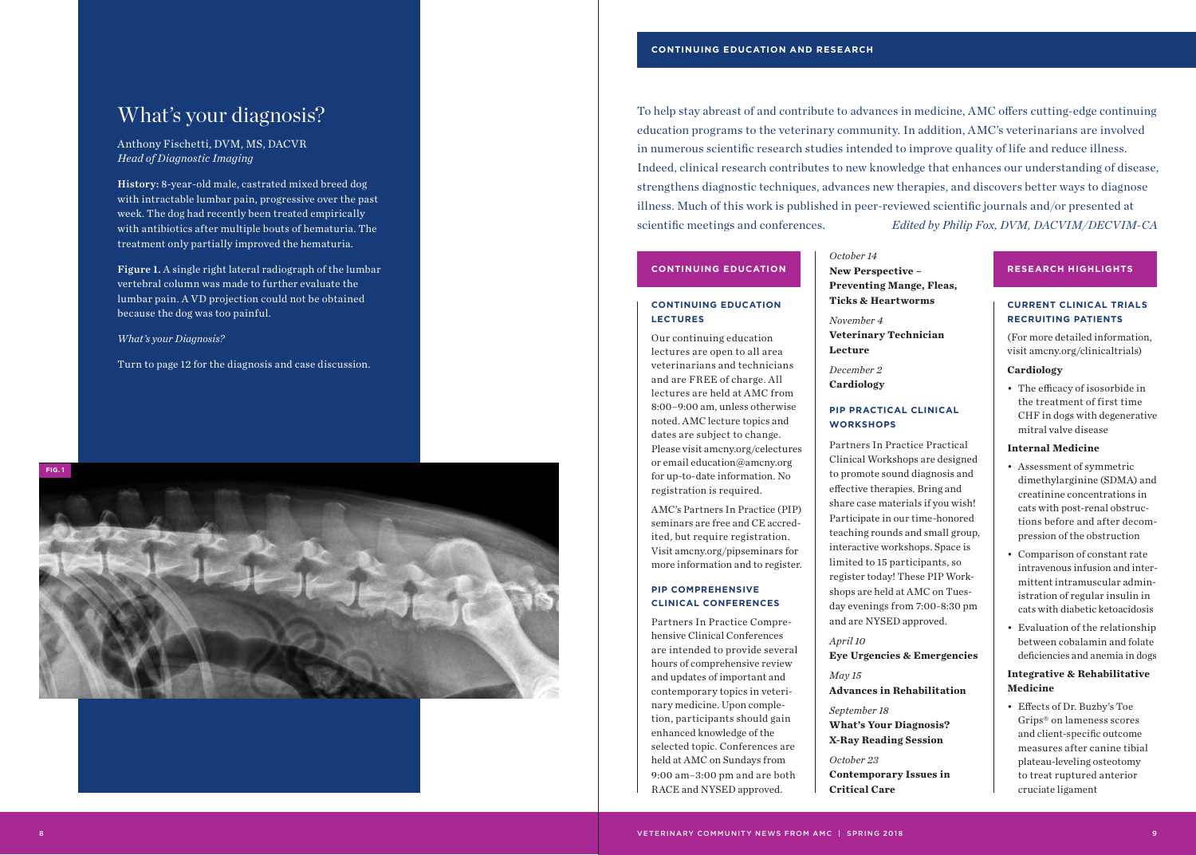## What's your diagnosis?

Anthony Fischetti, DVM, MS, DACVR *Head of Diagnostic Imaging* 

History: 8-year-old male, castrated mixed breed dog with intractable lumbar pain, progressive over the past week. The dog had recently been treated empirically with antibiotics after multiple bouts of hematuria. The treatment only partially improved the hematuria.

Figure 1. A single right lateral radiograph of the lumbar vertebral column was made to further evaluate the lumbar pain. A VD projection could not be obtained because the dog was too painful.

*What's your Diagnosis?* 

Turn to page 12 for the diagnosis and case discussion.



To help stay abreast of and contribute to advances in medicine, AMC offers cutting-edge continuing education programs to the veterinary community. In addition, AMC's veterinarians are involved in numerous scientific research studies intended to improve quality of life and reduce illness. Indeed, clinical research contributes to new knowledge that enhances our understanding of disease, strengthens diagnostic techniques, advances new therapies, and discovers better ways to diagnose illness. Much of this work is published in peer-reviewed scientific journals and/or presented at scientific meetings and conferences. *Edited by Philip Fox, DVM, DACVIM/DECVIM-CA*

#### **CONTINUING EDUCATION LECTURES**

Our continuing education lectures are open to all area veterinarians and technicians and are FREE of charge. All lectures are held at AMC from 8:00–9:00 am, unless otherwise noted. AMC lecture topics and dates are subject to change. Please visit amcny.org/celectures or email education@amcny.org for up-to-date information. No registration is required.

AMC's Partners In Practice (PIP) seminars are free and CE accred ited, but require registration. Visit amcny.org/pipseminars for more information and to register.

#### **PIP COMPREHENSIVE CLINICAL CONFERENCES**

Partners In Practice Compre hensive Clinical Conferences are intended to provide several hours of comprehensive review and updates of important and contemporary topics in veteri nary medicine. Upon comple tion, participants should gain enhanced knowledge of the selected topic. Conferences are held at AMC on Sundays from 9:00 am–3:00 pm and are both RACE and NYSED approved.

*October 14* **New Perspective – Preventing Mange, Fleas, Ticks & Heartworms CONTINUING EDUCATION Research Mew Perspective - RESEARCH HIGHLIGHTS** 

> *November 4* **Veterinary Technician Lecture**

*December 2* **Cardiology**

#### **PIP PRACTICAL CLINICAL WORKSHOPS**

Partners In Practice Practical Clinical Workshops are designed to promote sound diagnosis and effective therapies. Bring and share case materials if you wish! Participate in our time-honored teaching rounds and small group, interactive workshops. Space is limited to 15 participants, so register today! These PIP Work shops are held at AMC on Tues day evenings from 7:00-8:30 pm and are NYSED approved.

## *April 10*

**Eye Urgencies & Emergencies** *May 15*

**Advances in Rehabilitation**

*September 18* **What's Your Diagnosis? X-Ray Reading Session**

*October 23* **Contemporary Issues in Critical Care**

#### **CURRENT CLINICAL TRIALS RECRUITING PATIENTS**

(For more detailed information, visit amcny.org/clinicaltrials)

#### **Cardiology**

• The efficacy of isosorbide in the treatment of first time CHF in dogs with degenerative mitral valve disease

#### **Internal Medicine**

- Assessment of symmetric dimethylarginine (SDMA) and creatinine concentrations in cats with post-renal obstruc tions before and after decom pression of the obstruction
- Comparison of constant rate intravenous infusion and inter mittent intramuscular admin istration of regular insulin in cats with diabetic ketoacidosis
- Evaluation of the relationship between cobalamin and folate deficiencies and anemia in dogs

#### **Integrative & Rehabilitative Medicine**

• Effects of Dr. Buzby's Toe Grips® on lameness scores and client-specific outcome measures after canine tibial plateau-leveling osteotomy to treat ruptured anterior cruciate ligament

9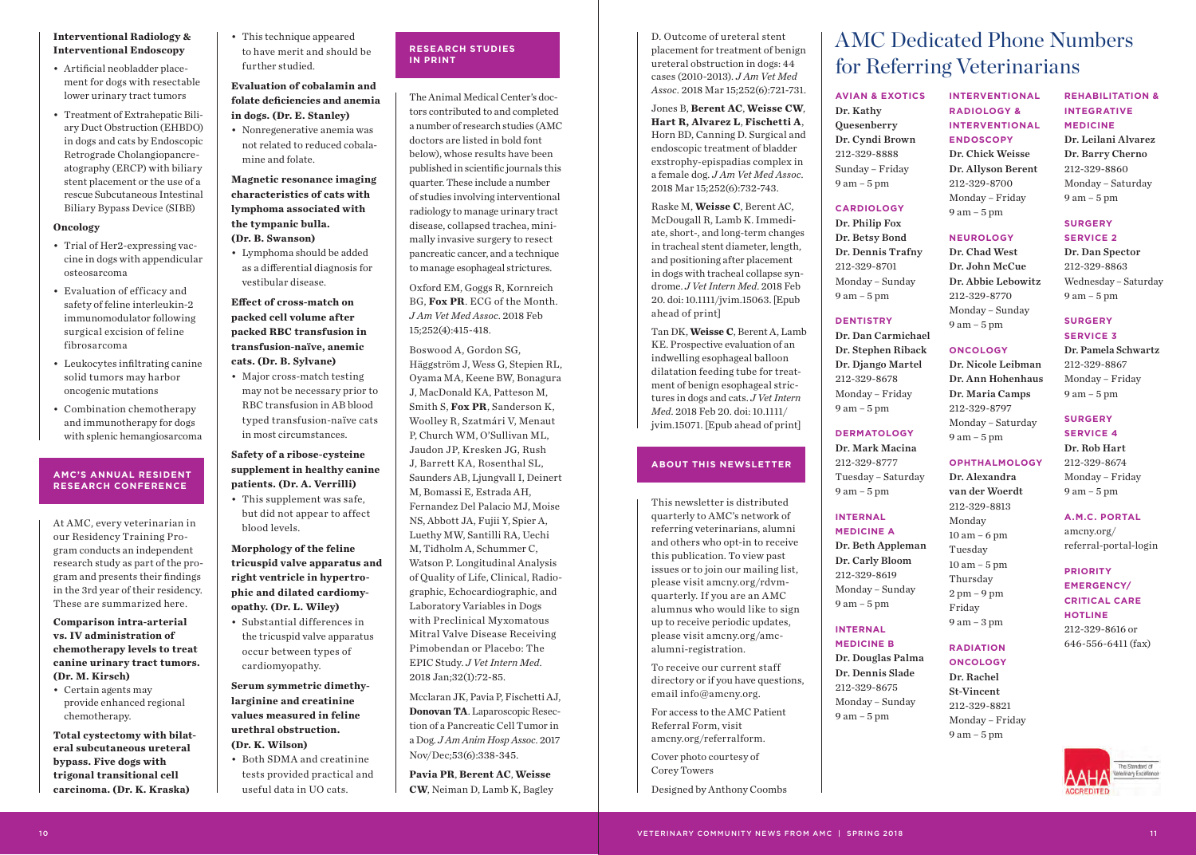#### **Interventional Radiology & Interventional Endoscopy**

- Artificial neobladder placement for dogs with resectable lower urinary tract tumors
- Treatment of Extrahepatic Biliary Duct Obstruction (EHBDO) in dogs and cats by Endoscopic Retrograde Cholangiopancreatography (ERCP) with biliary stent placement or the use of a rescue Subcutaneous Intestinal Biliary Bypass Device (SIBB)

#### **Oncology**

- Trial of Her2-expressing vaccine in dogs with appendicular osteosarcoma
- Evaluation of efficacy and safety of feline interleukin-2 immunomodulator following surgical excision of feline fibrosarcoma
- Leukocytes infiltrating canine solid tumors may harbor oncogenic mutations
- Combination chemotherapy and immunotherapy for dogs with splenic hemangiosarcoma

#### **AMC'S ANNUAL RESIDENT RESEARCH CONFERENCE**

At AMC, every veterinarian in our Residency Training Program conducts an independent research study as part of the program and presents their findings in the 3rd year of their residency. These are summarized here.

#### **Comparison intra-arterial vs. IV administration of chemotherapy levels to treat canine urinary tract tumors. (Dr. M. Kirsch)**

• Certain agents may provide enhanced regional chemotherapy.

**Total cystectomy with bilateral subcutaneous ureteral bypass. Five dogs with trigonal transitional cell carcinoma. (Dr. K. Kraska)**

• This technique appeared to have merit and should be further studied.

#### **Evaluation of cobalamin and folate deficiencies and anemia in dogs. (Dr. E. Stanley)**

• Nonregenerative anemia was not related to reduced cobalamine and folate.

#### **Magnetic resonance imaging characteristics of cats with lymphoma associated with the tympanic bulla. (Dr. B. Swanson)**

• Lymphoma should be added as a differential diagnosis for vestibular disease.

**Effect of cross-match on packed cell volume after packed RBC transfusion in transfusion-naïve, anemic cats. (Dr. B. Sylvane)**

• Major cross-match testing may not be necessary prior to RBC transfusion in AB blood typed transfusion-naïve cats in most circumstances.

#### **Safety of a ribose-cysteine supplement in healthy canine patients. (Dr. A. Verrilli)**

• This supplement was safe, but did not appear to affect blood levels.

#### **Morphology of the feline tricuspid valve apparatus and right ventricle in hypertrophic and dilated cardiomyopathy. (Dr. L. Wiley)**

• Substantial differences in the tricuspid valve apparatus occur between types of cardiomyopathy.

#### **Serum symmetric dimethylarginine and creatinine values measured in feline urethral obstruction. (Dr. K. Wilson)**

• Both SDMA and creatinine tests provided practical and useful data in UO cats.

### **RESEARCH STUDIES IN PRINT**

The Animal Medical Center's doctors contributed to and completed a number of research studies (AMC doctors are listed in bold font below), whose results have been published in scientific journals this quarter. These include a number of studies involving interventional radiology to manage urinary tract disease, collapsed trachea, minimally invasive surgery to resect pancreatic cancer, and a technique to manage esophageal strictures.

Oxford EM, Goggs R, Kornreich BG, **Fox PR**. ECG of the Month. *J Am Vet Med Assoc*. 2018 Feb 15;252(4):415-418.

Boswood A, Gordon SG, Häggström J, Wess G, Stepien RL, Oyama MA, Keene BW, Bonagura J, MacDonald KA, Patteson M, Smith S, **Fox PR**, Sanderson K, Woolley R, Szatmári V, Menaut P, Church WM, O'Sullivan ML, Jaudon JP, Kresken JG, Rush J, Barrett KA, Rosenthal SL, Saunders AB, Ljungvall I, Deinert M, Bomassi E, Estrada AH, Fernandez Del Palacio MJ, Moise NS, Abbott JA, Fujii Y, Spier A, Luethy MW, Santilli RA, Uechi M, Tidholm A, Schummer C, Watson P. Longitudinal Analysis of Quality of Life, Clinical, Radiographic, Echocardiographic, and Laboratory Variables in Dogs with Preclinical Myxomatous Mitral Valve Disease Receiving Pimobendan or Placebo: The EPIC Study. *J Vet Intern Med*. 2018 Jan;32(1):72-85.

Mcclaran JK, Pavia P, Fischetti AJ, **Donovan TA**. Laparoscopic Resection of a Pancreatic Cell Tumor in a Dog. *J Am Anim Hosp Assoc*. 2017 Nov/Dec;53(6):338-345.

**Pavia PR**, **Berent AC**, **Weisse CW**, Neiman D, Lamb K, Bagley D. Outcome of ureteral stent placement for treatment of benign ureteral obstruction in dogs: 44 cases (2010-2013). *J Am Vet Med Assoc*. 2018 Mar 15;252(6):721-731.

Jones B, **Berent AC**, **Weisse CW**, **Hart R, Alvarez L**, **Fischetti A**, Horn BD, Canning D. Surgical and endoscopic treatment of bladder exstrophy-epispadias complex in a female dog. *J Am Vet Med Assoc*. 2018 Mar 15;252(6):732-743.

Raske M, **Weisse C**, Berent AC, McDougall R, Lamb K. Immediate, short-, and long-term changes in tracheal stent diameter, length, and positioning after placement in dogs with tracheal collapse syndrome. *J Vet Intern Med*. 2018 Feb 20. doi: 10.1111/jvim.15063. [Epub ahead of print]

Tan DK, **Weisse C**, Berent A, Lamb KE. Prospective evaluation of an indwelling esophageal balloon dilatation feeding tube for treatment of benign esophageal strictures in dogs and cats. *J Vet Intern Med*. 2018 Feb 20. doi: 10.1111/ jvim.15071. [Epub ahead of print]

#### **ABOUT THIS NEWSLETTER**

This newsletter is distributed quarterly to AMC's network of referring veterinarians, alumni and others who opt-in to receive this publication. To view past issues or to join our mailing list, please visit amcny.org/rdvmquarterly. If you are an AMC alumnus who would like to sign up to receive periodic updates, please visit amcny.org/amcalumni-registration.

To receive our current staff directory or if you have questions, email info@amcny.org.

For access to the AMC Patient Referral Form, visit amcny.org/referralform.

Cover photo courtesy of Corey Towers

Designed by Anthony Coombs

## AMC Dedicated Phone Numbers for Referring Veterinarians

**AVIAN & EXOTICS** Dr. Kathy Quesenberry Dr. Cyndi Brown 212-329-8888

### Sunday – Friday 9 am – 5 pm **CARDIOLOGY**

Dr. Philip Fox Dr. Betsy Bond Dr. Dennis Trafny

212-329-8701 Monday – Sunday 9 am – 5 pm Dr. John McCue Dr. Abbie Lebowitz 212-329-8770 Monday – Sunday

#### **DENTISTRY**

Dr. Dan Carmichael Dr. Stephen Riback Dr. Django Martel 212-329-8678 Monday – Friday 9 am – 5 pm

#### **DERMATOLOGY** Dr. Mark Macina

212-329-8777 Tuesday – Saturday 9 am – 5 pm

## **INTERNAL**

**MEDICINE A** Dr. Beth Appleman Dr. Carly Bloom 212-329-8619 Monday – Sunday 9 am – 5 pm

## **INTERNAL**

#### **MEDICINE B**

Dr. Douglas Palma Dr. Dennis Slade 212-329-8675 Monday – Sunday 9 am – 5 pm

**INTERVENTIONAL RADIOLOGY & INTERVENTIONAL ENDOSCOPY** Dr. Chick Weisse Dr. Allyson Berent 212-329-8700 Monday – Friday 9 am – 5 pm

**NEUROLOGY** Dr. Chad West

9 am – 5 pm

**ONCOLOGY** Dr. Nicole Leibman Dr. Ann Hohenhaus Dr. Maria Camps 212-329-8797 Monday – Saturday 9 am – 5 pm

**OPHTHALMOLOGY** Dr. Alexandra van der Woerdt 212-329-8813 Monday 10 am – 6 pm Tuesday 10 am – 5 pm Thursday 2 pm – 9 pm Friday 9 am – 3 pm

**RADIATION ONCOLOGY** Dr. Rachel St-Vincent 212-329-8821

9 am – 5 pm

#### **SURGERY SERVICE 2**

Dr. Dan Spector 212-329-8863 Wednesday – Saturday 9 am – 5 pm

**REHABILITATION & INTEGRATIVE MEDICINE**

Dr. Leilani Alvarez Dr. Barry Cherno 212-329-8860 Monday – Saturday 9 am – 5 pm

#### **SURGERY SERVICE 3**

Dr. Pamela Schwartz 212-329-8867 Monday – Friday 9 am – 5 pm

#### **SURGERY**

#### **SERVICE 4** Dr. Rob Hart

212-329-8674 Monday – Friday 9 am – 5 pm

#### **A.M.C. PORTAL**

amcny.org/ referral-portal-login

#### **PRIORITY EMERGENCY/ CRITICAL CARE HOTLINE** 212-329-8616 or 646-556-6411 (fax)

# Monday – Friday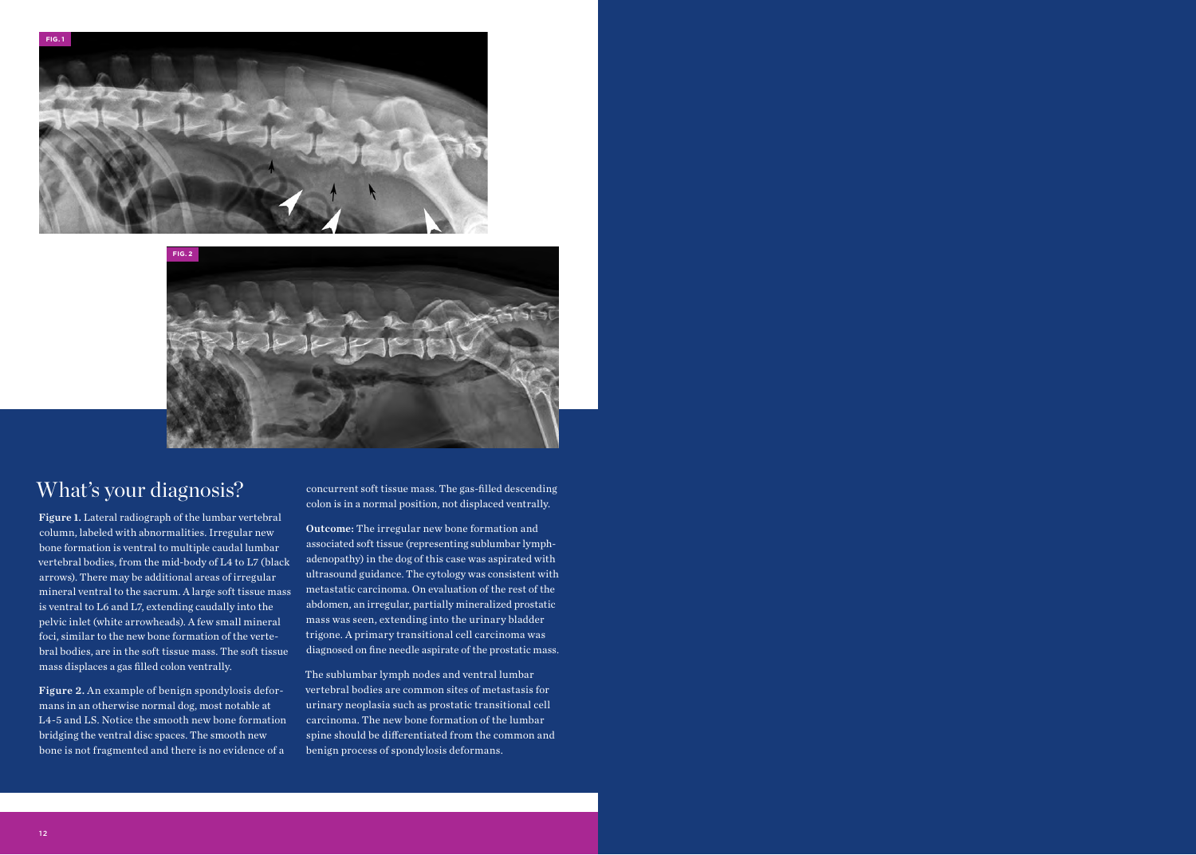



## What's your diagnosis?

Figure 1. Lateral radiograph of the lumbar vertebral column, labeled with abnormalities. Irregular new bone formation is ventral to multiple caudal lumbar vertebral bodies, from the mid-body of L4 to L7 (black arrows). There may be additional areas of irregular mineral ventral to the sacrum. A large soft tissue mass is ventral to L6 and L7, extending caudally into the pelvic inlet (white arrowheads). A few small mineral foci, similar to the new bone formation of the vertebral bodies, are in the soft tissue mass. The soft tissue mass displaces a gas filled colon ventrally.

Figure 2. An example of benign spondylosis deformans in an otherwise normal dog, most notable at L4-5 and LS. Notice the smooth new bone formation bridging the ventral disc spaces. The smooth new bone is not fragmented and there is no evidence of a

concurrent soft tissue mass. The gas-filled descending colon is in a normal position, not displaced ventrally.

Outcome: The irregular new bone formation and associated soft tissue (representing sublumbar lymphadenopathy) in the dog of this case was aspirated with ultrasound guidance. The cytology was consistent with metastatic carcinoma. On evaluation of the rest of the abdomen, an irregular, partially mineralized prostatic mass was seen, extending into the urinary bladder trigone. A primary transitional cell carcinoma was diagnosed on fine needle aspirate of the prostatic mass.

The sublumbar lymph nodes and ventral lumbar vertebral bodies are common sites of metastasis for urinary neoplasia such as prostatic transitional cell carcinoma. The new bone formation of the lumbar spine should be differentiated from the common and benign process of spondylosis deformans.